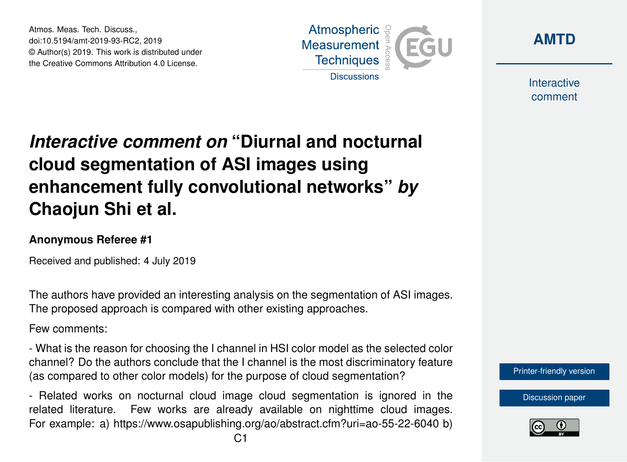Atmos. Meas. Tech. Discuss., doi:10.5194/amt-2019-93-RC2, 2019 © Author(s) 2019. This work is distributed under the Creative Commons Attribution 4.0 License.





Interactive comment

## *Interactive comment on* **"Diurnal and nocturnal cloud segmentation of ASI images using enhancement fully convolutional networks"** *by* **Chaojun Shi et al.**

## **Anonymous Referee #1**

Received and published: 4 July 2019

The authors have provided an interesting analysis on the segmentation of ASI images. The proposed approach is compared with other existing approaches.

Few comments:

- What is the reason for choosing the I channel in HSI color model as the selected color channel? Do the authors conclude that the I channel is the most discriminatory feature (as compared to other color models) for the purpose of cloud segmentation?

- Related works on nocturnal cloud image cloud segmentation is ignored in the related literature. Few works are already available on nighttime cloud images. For example: a) https://www.osapublishing.org/ao/abstract.cfm?uri=ao-55-22-6040 b)

[Discussion paper](https://www.atmos-meas-tech-discuss.net/amt-2019-93)